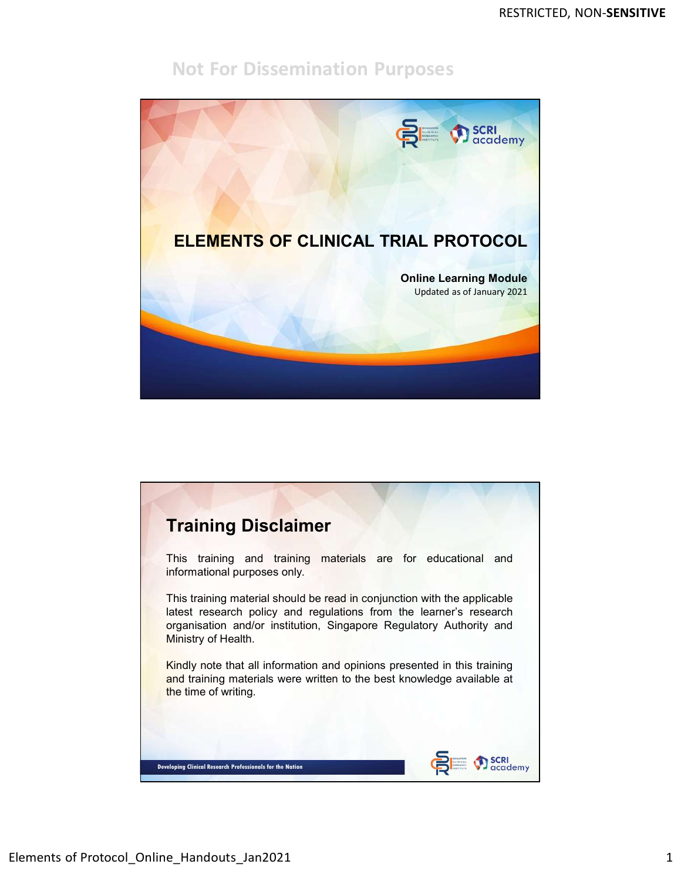

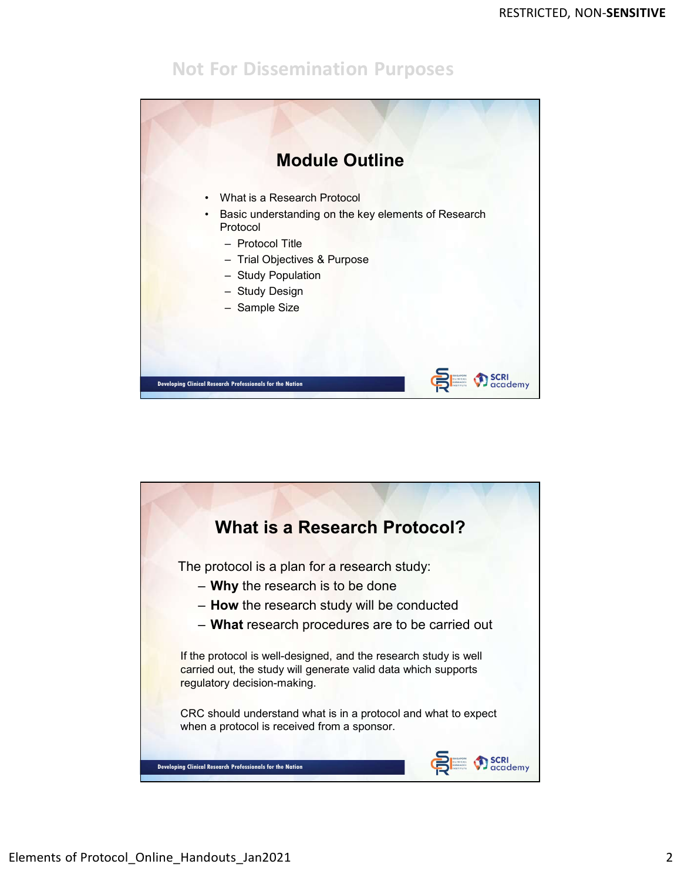

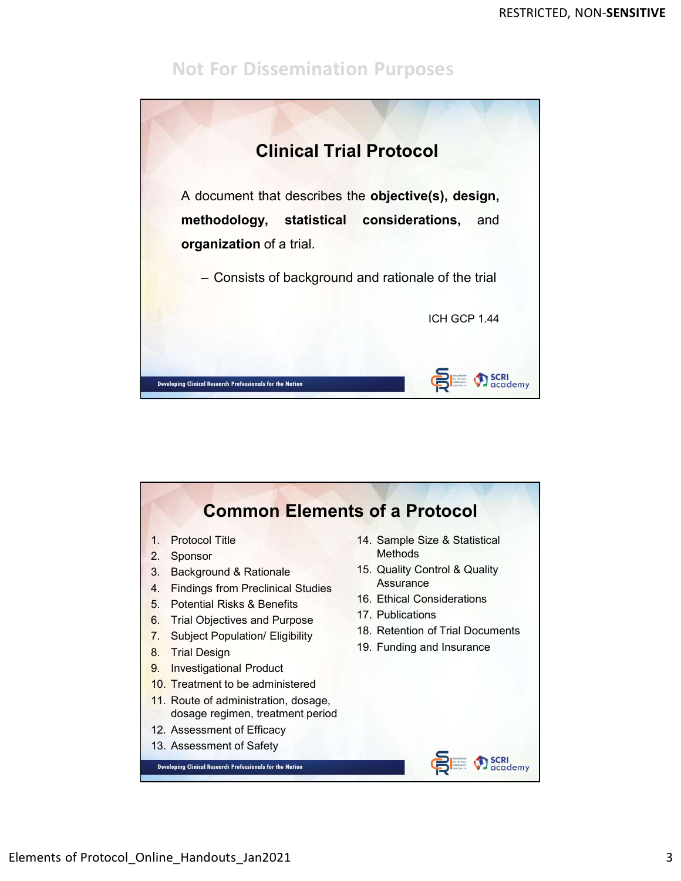

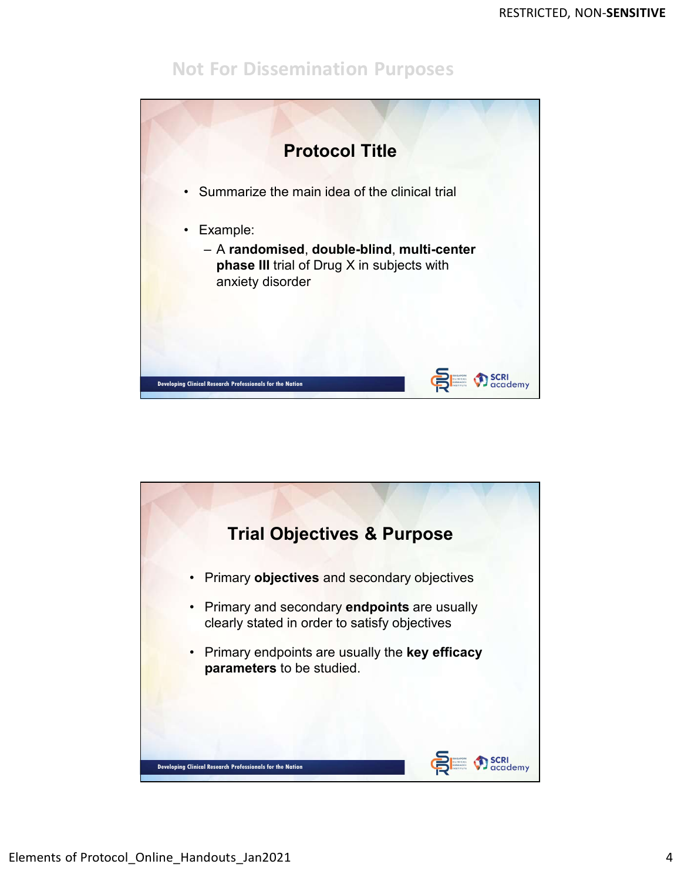

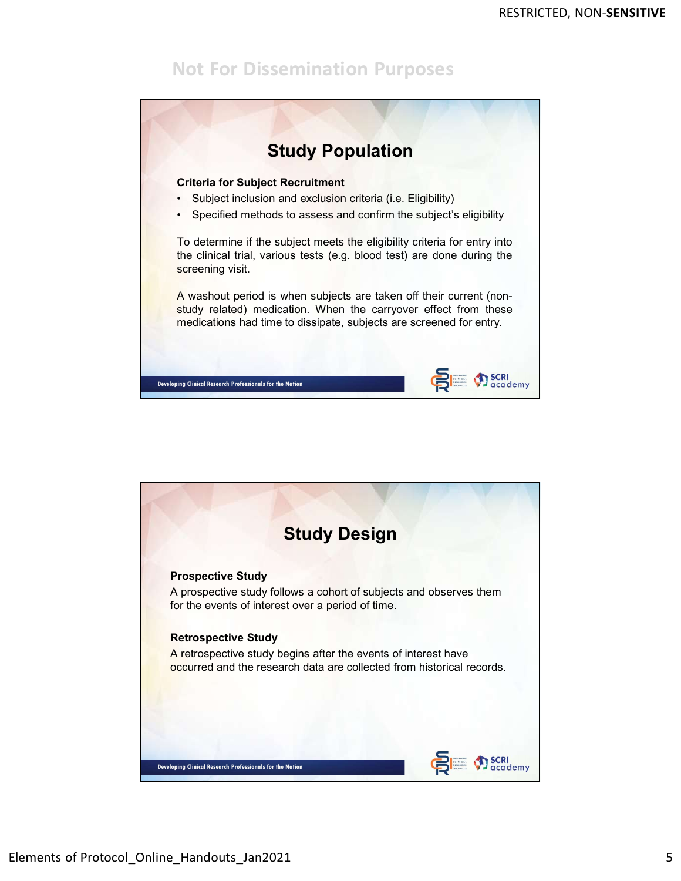

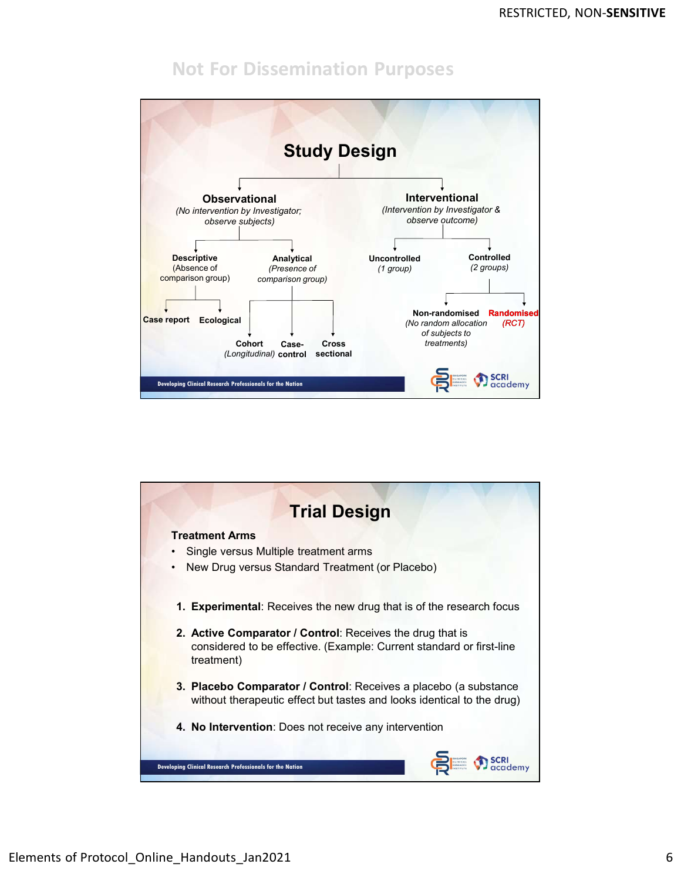

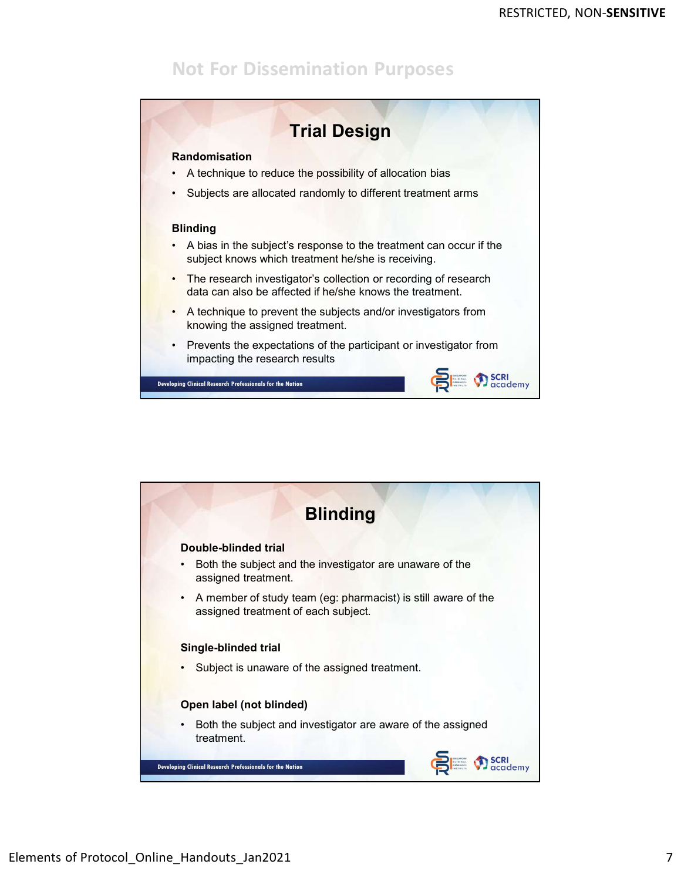

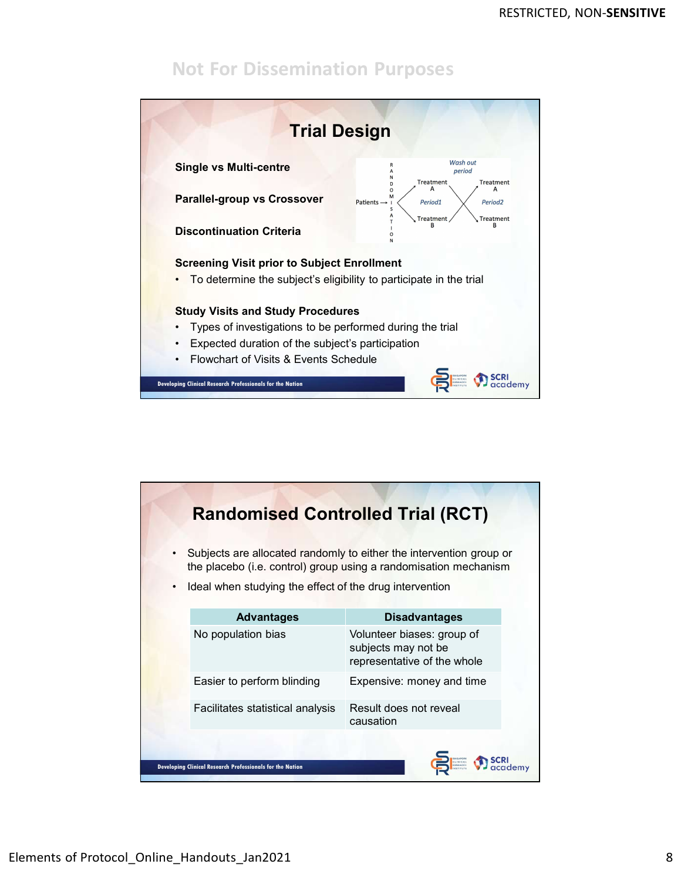

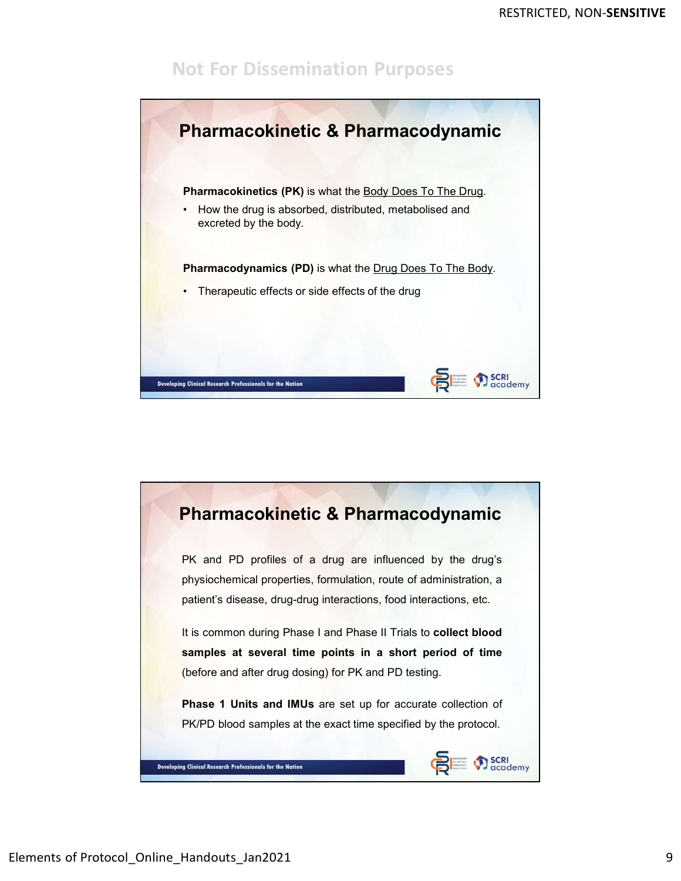

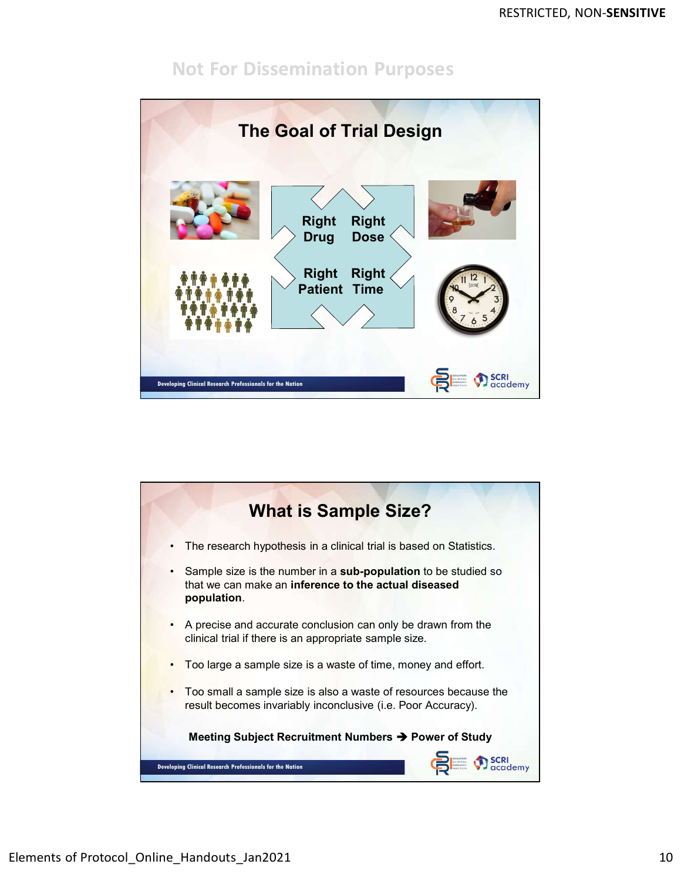![](_page_9_Figure_2.jpeg)

![](_page_9_Picture_3.jpeg)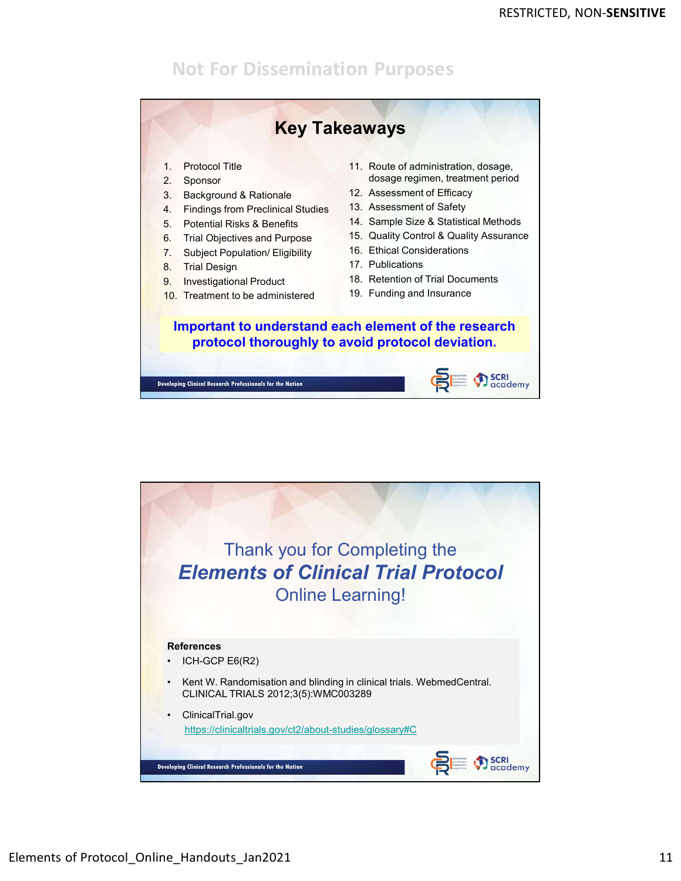![](_page_10_Figure_2.jpeg)

![](_page_10_Picture_3.jpeg)